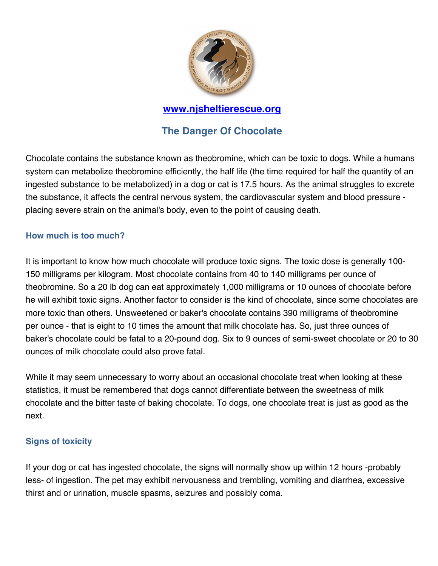

## **www.njsheltierescue.org**

# **The Danger Of Chocolate**

Chocolate contains the substance known as theobromine, which can be toxic to dogs. While a humans system can metabolize theobromine efficiently, the half life (the time required for half the quantity of an ingested substance to be metabolized) in a dog or cat is 17.5 hours. As the animal struggles to excrete the substance, it affects the central nervous system, the cardiovascular system and blood pressure placing severe strain on the animal's body, even to the point of causing death.

### **How much is too much?**

It is important to know how much chocolate will produce toxic signs. The toxic dose is generally 100- 150 milligrams per kilogram. Most chocolate contains from 40 to 140 milligrams per ounce of theobromine. So a 20 lb dog can eat approximately 1,000 milligrams or 10 ounces of chocolate before he will exhibit toxic signs. Another factor to consider is the kind of chocolate, since some chocolates are more toxic than others. Unsweetened or baker's chocolate contains 390 milligrams of theobromine per ounce - that is eight to 10 times the amount that milk chocolate has. So, just three ounces of baker's chocolate could be fatal to a 20-pound dog. Six to 9 ounces of semi-sweet chocolate or 20 to 30 ounces of milk chocolate could also prove fatal.

While it may seem unnecessary to worry about an occasional chocolate treat when looking at these statistics, it must be remembered that dogs cannot differentiate between the sweetness of milk chocolate and the bitter taste of baking chocolate. To dogs, one chocolate treat is just as good as the next.

#### **Signs of toxicity**

If your dog or cat has ingested chocolate, the signs will normally show up within 12 hours -probably less- of ingestion. The pet may exhibit nervousness and trembling, vomiting and diarrhea, excessive thirst and or urination, muscle spasms, seizures and possibly coma.